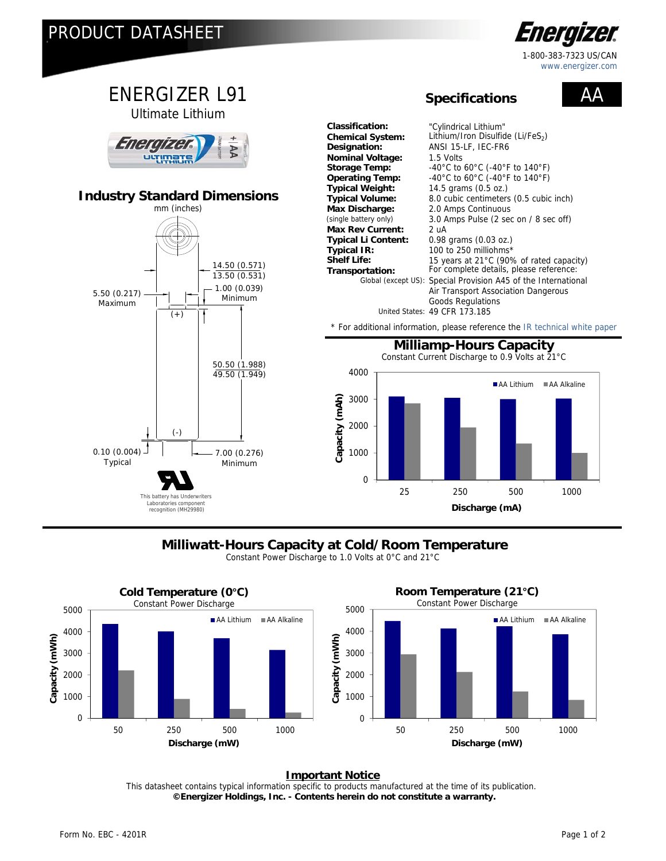

This battery has Underwriters Laboratories component recognition (MH29980)

## **Milliwatt-Hours Capacity at Cold/Room Temperature**

**Discharge (mA)**

Constant Power Discharge to 1.0 Volts at 0°C and 21°C



## **Important Notice**

This datasheet contains typical information specific to products manufactured at the time of its publication.  **©Energizer Holdings, Inc. - Contents herein do not constitute a warranty.**